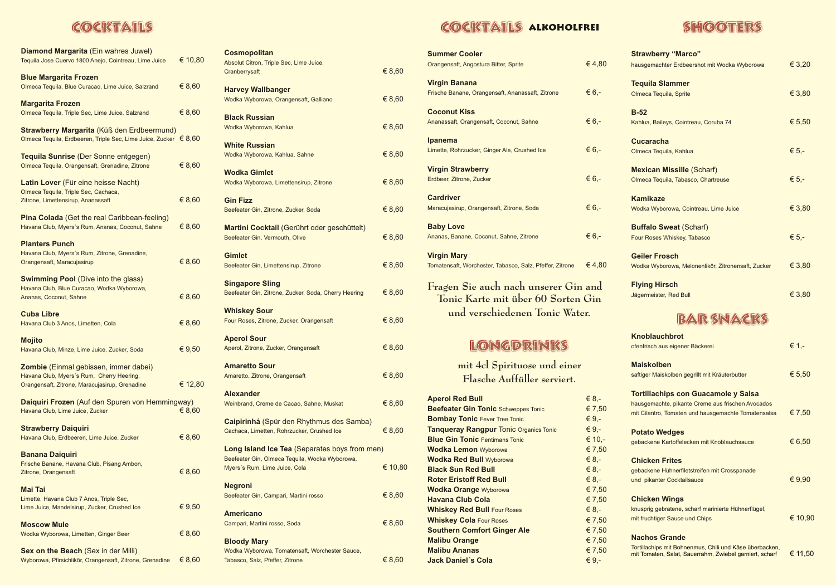# COCKTAILS

| Diamond Margarita (Ein wahres Juwel)<br>Tequila Jose Cuervo 1800 Anejo, Cointreau, Lime Juice                                        | € 10,80 |
|--------------------------------------------------------------------------------------------------------------------------------------|---------|
| <b>Blue Margarita Frozen</b><br>Olmeca Tequila, Blue Curacao, Lime Juice, Salzrand                                                   | € 8,60  |
| <b>Margarita Frozen</b><br>Olmeca Tequila, Triple Sec, Lime Juice, Salzrand                                                          | € 8,60  |
| Strawberry Margarita (Küß den Erdbeermund)<br>Olmeca Tequila, Erdbeeren, Triple Sec, Lime Juice, Zucker € 8,60                       |         |
| Tequila Sunrise (Der Sonne entgegen)<br>Olmeca Tequila, Orangensaft, Grenadine, Zitrone                                              | € 8,60  |
| Latin Lover (Für eine heisse Nacht)<br>Olmeca Tequila, Triple Sec, Cachaca,<br>Zitrone, Limettensirup, Ananassaft                    | € 8,60  |
| <b>Pina Colada</b> (Get the real Caribbean-feeling)<br>Havana Club, Myers's Rum, Ananas, Coconut, Sahne                              | € 8,60  |
| <b>Planters Punch</b><br>Havana Club, Myers's Rum, Zitrone, Grenadine,<br>Orangensaft, Maracujasirup                                 | € 8,60  |
| <b>Swimming Pool (Dive into the glass)</b><br>Havana Club, Blue Curacao, Wodka Wyborowa,<br>Ananas, Coconut, Sahne                   | € 8,60  |
| <b>Cuba Libre</b><br>Havana Club 3 Anos, Limetten, Cola                                                                              | € 8,60  |
| <b>Mojito</b><br>Havana Club, Minze, Lime Juice, Zucker, Soda                                                                        | € 9,50  |
| Zombie (Einmal gebissen, immer dabei)<br>Havana Club, Myers's Rum, Cherry Heering,<br>Orangensaft, Zitrone, Maracujasirup, Grenadine | € 12,80 |
| Daiquiri Frozen (Auf den Spuren von Hemmingway)<br>Havana Club, Lime Juice, Zucker                                                   | € 8,60  |
| <b>Strawberry Daiquiri</b><br>Havana Club, Erdbeeren, Lime Juice, Zucker                                                             | € 8,60  |
| <b>Banana Daiquiri</b><br>Frische Banane, Havana Club, Pisang Ambon,<br>Zitrone, Orangensaft                                         | € 8,60  |
| <b>Mai Tai</b><br>Limette, Havana Club 7 Anos, Triple Sec,<br>Lime Juice, Mandelsirup, Zucker, Crushed Ice                           | € 9,50  |
| <b>Moscow Mule</b><br>Wodka Wyborowa, Limetten, Ginger Beer                                                                          | € 8,60  |
| Sex on the Beach (Sex in der Milli)<br>Wyborowa, Pfirsichlikör, Orangensaft, Zitrone, Grenadine                                      | € 8,60  |

| <b>Cosmopolitan</b>                                                             |         |
|---------------------------------------------------------------------------------|---------|
| Absolut Citron, Triple Sec, Lime Juice,                                         |         |
| Cranberrysaft                                                                   | € 8,60  |
|                                                                                 |         |
| <b>Harvey Wallbanger</b>                                                        |         |
| Wodka Wyborowa, Orangensaft, Galliano                                           | € 8,60  |
|                                                                                 |         |
| <b>Black Russian</b>                                                            |         |
| Wodka Wyborowa, Kahlua                                                          | € 8,60  |
|                                                                                 |         |
| <b>White Russian</b>                                                            |         |
| Wodka Wyborowa, Kahlua, Sahne                                                   | € 8,60  |
| <b>Wodka Gimlet</b>                                                             |         |
|                                                                                 | € 8,60  |
| Wodka Wyborowa, Limettensirup, Zitrone                                          |         |
| <b>Gin Fizz</b>                                                                 |         |
| Beefeater Gin, Zitrone, Zucker, Soda                                            | € 8,60  |
|                                                                                 |         |
| Martini Cocktail (Gerührt oder geschüttelt)                                     |         |
| Beefeater Gin, Vermouth, Olive                                                  | € 8,60  |
|                                                                                 |         |
| <b>Gimlet</b>                                                                   |         |
| Beefeater Gin, Limettensirup, Zitrone                                           | € 8,60  |
|                                                                                 |         |
| <b>Singapore Sling</b>                                                          |         |
| Beefeater Gin, Zitrone, Zucker, Soda, Cherry Heering                            | € 8,60  |
|                                                                                 |         |
| <b>Whiskey Sour</b>                                                             |         |
| Four Roses, Zitrone, Zucker, Orangensaft                                        | € 8,60  |
|                                                                                 |         |
| <b>Aperol Sour</b>                                                              |         |
| Aperol, Zitrone, Zucker, Orangensaft                                            | € 8,60  |
|                                                                                 |         |
| <b>Amaretto Sour</b>                                                            |         |
| Amaretto, Zitrone, Orangensaft                                                  | € 8,60  |
|                                                                                 |         |
| <b>Alexander</b>                                                                |         |
| Weinbrand, Creme de Cacao, Sahne, Muskat                                        | € 8,60  |
|                                                                                 |         |
| <b>Caipirinhá</b> (Spür den Rhythmus des Samba)                                 |         |
| Cachaca, Limetten, Rohrzucker, Crushed Ice                                      | € 8,60  |
| Long Island Ice Tea (Separates boys from men)                                   |         |
|                                                                                 |         |
| Beefeater Gin, Olmeca Tequila, Wodka Wyborowa,<br>Myers's Rum, Lime Juice, Cola | € 10,80 |
|                                                                                 |         |
| <b>Negroni</b>                                                                  |         |
| Beefeater Gin, Campari, Martini rosso                                           | € 8,60  |
|                                                                                 |         |
| <b>Americano</b>                                                                |         |
| Campari, Martini rosso, Soda                                                    | € 8,60  |
|                                                                                 |         |
| <b>Bloody Mary</b>                                                              |         |
| Wodka Wyborowa, Tomatensaft, Worchester Sauce,                                  |         |
| Tabasco, Salz, Pfeffer, Zitrone                                                 | € 8,60  |
|                                                                                 |         |

# COCKTAILS ALKOHOLFREI

| <b>Summer Cooler</b>                                                                   |                   | <b>Strawberry "Marco"</b>                                                                                          |         |
|----------------------------------------------------------------------------------------|-------------------|--------------------------------------------------------------------------------------------------------------------|---------|
| Orangensaft, Angostura Bitter, Sprite                                                  | €4,80             | hausgemachter Erdbeershot mit Wodka Wyborowa                                                                       | € 3,20  |
| <b>Virgin Banana</b>                                                                   |                   | <b>Tequila Slammer</b>                                                                                             |         |
| Frische Banane, Orangensaft, Ananassaft, Zitrone                                       | € 6,-             | Olmeca Tequila, Sprite                                                                                             | € 3,80  |
|                                                                                        |                   |                                                                                                                    |         |
| <b>Coconut Kiss</b>                                                                    | € 6,-             | $B-52$                                                                                                             |         |
| Ananassaft, Orangensaft, Coconut, Sahne                                                |                   | Kahlua, Baileys, Cointreau, Coruba 74                                                                              | € 5,50  |
| Ipanema                                                                                |                   | <b>Cucaracha</b>                                                                                                   |         |
| Limette, Rohrzucker, Ginger Ale, Crushed Ice                                           | € $6,-$           | Olmeca Tequila, Kahlua                                                                                             | € $5,-$ |
| <b>Virgin Strawberry</b>                                                               |                   |                                                                                                                    |         |
| Erdbeer, Zitrone, Zucker                                                               | € 6,-             | <b>Mexican Missille (Scharf)</b><br>Olmeca Tequila, Tabasco, Chartreuse                                            | € $5,-$ |
|                                                                                        |                   |                                                                                                                    |         |
| <b>Cardriver</b>                                                                       |                   | <b>Kamikaze</b>                                                                                                    |         |
| Maracujasirup, Orangensaft, Zitrone, Soda                                              | € 6,-             | Wodka Wyborowa, Cointreau, Lime Juice                                                                              | € 3,80  |
| <b>Baby Love</b>                                                                       |                   | <b>Buffalo Sweat (Scharf)</b>                                                                                      |         |
| Ananas, Banane, Coconut, Sahne, Zitrone                                                | € $6,-$           | Four Roses Whiskey, Tabasco                                                                                        | € 5,-   |
|                                                                                        |                   |                                                                                                                    |         |
| <b>Virgin Mary</b>                                                                     |                   | <b>Geiler Frosch</b>                                                                                               |         |
| Tomatensaft, Worchester, Tabasco, Salz, Pfeffer, Zitrone                               | €4,80             | Wodka Wyborowa, Melonenlikör, Zitronensaft, Zucker                                                                 | € 3,80  |
| Fragen Sie auch nach unserer Gin and                                                   |                   | <b>Flying Hirsch</b>                                                                                               |         |
| Tonic Karte mit über 60 Sorten Gin                                                     |                   | Jägermeister, Red Bull                                                                                             | € 3,80  |
|                                                                                        |                   |                                                                                                                    |         |
|                                                                                        |                   |                                                                                                                    |         |
| und verschiedenen Tonic Water.                                                         |                   | <b>BARSNACKS</b>                                                                                                   |         |
|                                                                                        |                   | <b>Knoblauchbrot</b>                                                                                               |         |
|                                                                                        |                   | ofenfrisch aus eigener Bäckerei                                                                                    | € 1,-   |
| LONGDRINKS                                                                             |                   |                                                                                                                    |         |
| mit 4cl Spirituose und einer                                                           |                   | <b>Maiskolben</b>                                                                                                  |         |
| Flasche Auffüller serviert.                                                            |                   | saftiger Maiskolben gegrillt mit Kräuterbutter                                                                     | € 5,50  |
|                                                                                        |                   | <b>Tortillachips con Guacamole y Salsa</b>                                                                         |         |
| <b>Aperol Red Bull</b>                                                                 | $€ 8,-$           | hausgemachte, pikante Creme aus frischen Avocados                                                                  |         |
| <b>Beefeater Gin Tonic Schweppes Tonic</b>                                             | € 7,50            | mit Cilantro, Tomaten und hausgemachte Tomatensalsa                                                                | € 7,50  |
| <b>Bombay Tonic Fever Tree Tonic</b>                                                   | $€ 9,-$           |                                                                                                                    |         |
| <b>Tanqueray Rangpur Tonic Organics Tonic</b><br><b>Blue Gin Tonic Fentimans Tonic</b> | $€ 9,-$<br>€ 10,- | <b>Potato Wedges</b>                                                                                               |         |
| <b>Wodka Lemon Wyborowa</b>                                                            | € 7,50            | gebackene Kartoffelecken mit Knoblauchsauce                                                                        | € 6,50  |
| <b>Wodka Red Bull Wyborowa</b>                                                         | $€ 8,-$           | <b>Chicken Frites</b>                                                                                              |         |
| <b>Black Sun Red Bull</b>                                                              | $€ 8,-$           | gebackene Hühnerfiletstreifen mit Crosspanade                                                                      |         |
| <b>Roter Eristoff Red Bull</b>                                                         | $€ 8,-$           | und pikanter Cocktailsauce                                                                                         | € 9,90  |
| <b>Wodka Orange Wyborowa</b>                                                           | € 7,50            |                                                                                                                    |         |
| <b>Havana Club Cola</b>                                                                | € 7,50            | <b>Chicken Wings</b>                                                                                               |         |
| <b>Whiskey Red Bull Four Roses</b>                                                     | $€ 8,-$           | knusprig gebratene, scharf marinierte Hühnerflügel,                                                                |         |
| <b>Whiskey Cola Four Roses</b>                                                         | € 7,50            | mit fruchtiger Sauce und Chips                                                                                     | € 10,90 |
| <b>Southern Comfort Ginger Ale</b>                                                     | € 7,50            | <b>Nachos Grande</b>                                                                                               |         |
| <b>Malibu Orange</b><br><b>Malibu Ananas</b>                                           | € 7,50<br>€ 7,50  | Tortillachips mit Bohnenmus, Chili und Käse überbacken,<br>mit Tomaten, Salat, Sauerrahm, Zwiebel garniert, scharf | € 11,50 |

# **SHOOTERS**